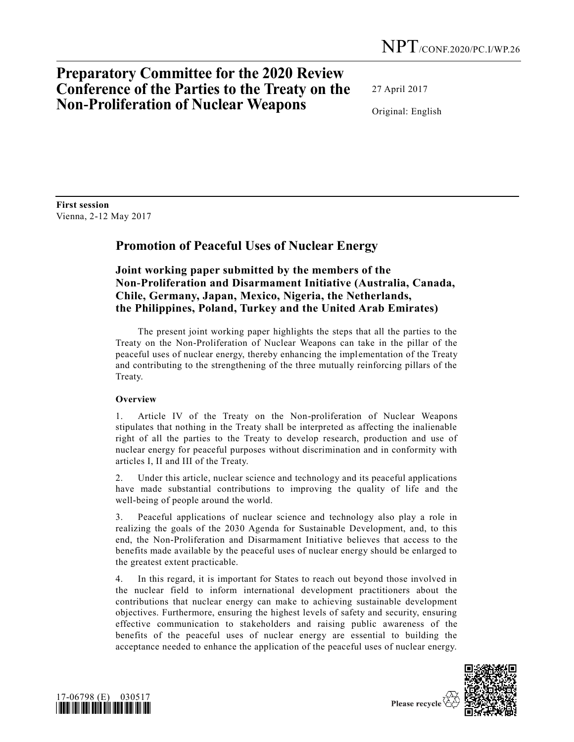# **Preparatory Committee for the 2020 Review Conference of the Parties to the Treaty on the Non-Proliferation of Nuclear Weapons**

27 April 2017

Original: English

**First session** Vienna, 2-12 May 2017

## **Promotion of Peaceful Uses of Nuclear Energy**

**Joint working paper submitted by the members of the Non-Proliferation and Disarmament Initiative (Australia, Canada, Chile, Germany, Japan, Mexico, Nigeria, the Netherlands, the Philippines, Poland, Turkey and the United Arab Emirates)**

The present joint working paper highlights the steps that all the parties to the Treaty on the Non-Proliferation of Nuclear Weapons can take in the pillar of the peaceful uses of nuclear energy, thereby enhancing the implementation of the Treaty and contributing to the strengthening of the three mutually reinforcing pillars of the Treaty.

### **Overview**

1. Article IV of the Treaty on the Non-proliferation of Nuclear Weapons stipulates that nothing in the Treaty shall be interpreted as affecting the inalienable right of all the parties to the Treaty to develop research, production and use of nuclear energy for peaceful purposes without discrimination and in conformity with articles I, II and III of the Treaty.

2. Under this article, nuclear science and technology and its peaceful applications have made substantial contributions to improving the quality of life and the well-being of people around the world.

3. Peaceful applications of nuclear science and technology also play a role in realizing the goals of the 2030 Agenda for Sustainable Development, and, to this end, the Non-Proliferation and Disarmament Initiative believes that access to the benefits made available by the peaceful uses of nuclear energy should be enlarged to the greatest extent practicable.

4. In this regard, it is important for States to reach out beyond those involved in the nuclear field to inform international development practitioners about the contributions that nuclear energy can make to achieving sustainable development objectives. Furthermore, ensuring the highest levels of safety and security, ensuring effective communication to stakeholders and raising public awareness of the benefits of the peaceful uses of nuclear energy are essential to building the acceptance needed to enhance the application of the peaceful uses of nuclear energy.



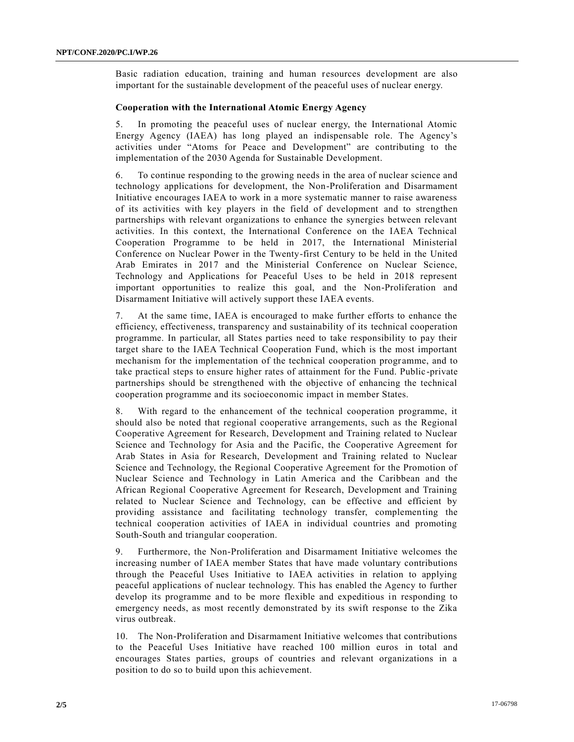Basic radiation education, training and human resources development are also important for the sustainable development of the peaceful uses of nuclear energy.

#### **Cooperation with the International Atomic Energy Agency**

5. In promoting the peaceful uses of nuclear energy, the International Atomic Energy Agency (IAEA) has long played an indispensable role. The Agency's activities under "Atoms for Peace and Development" are contributing to the implementation of the 2030 Agenda for Sustainable Development.

6. To continue responding to the growing needs in the area of nuclear science and technology applications for development, the Non-Proliferation and Disarmament Initiative encourages IAEA to work in a more systematic manner to raise awareness of its activities with key players in the field of development and to strengthen partnerships with relevant organizations to enhance the synergies between relevant activities. In this context, the International Conference on the IAEA Technical Cooperation Programme to be held in 2017, the International Ministerial Conference on Nuclear Power in the Twenty-first Century to be held in the United Arab Emirates in 2017 and the Ministerial Conference on Nuclear Science, Technology and Applications for Peaceful Uses to be held in 2018 represent important opportunities to realize this goal, and the Non-Proliferation and Disarmament Initiative will actively support these IAEA events.

7. At the same time, IAEA is encouraged to make further efforts to enhance the efficiency, effectiveness, transparency and sustainability of its technical cooperation programme. In particular, all States parties need to take responsibility to pay their target share to the IAEA Technical Cooperation Fund, which is the most important mechanism for the implementation of the technical cooperation programme, and to take practical steps to ensure higher rates of attainment for the Fund. Public -private partnerships should be strengthened with the objective of enhancing the technical cooperation programme and its socioeconomic impact in member States.

8. With regard to the enhancement of the technical cooperation programme, it should also be noted that regional cooperative arrangements, such as the Regional Cooperative Agreement for Research, Development and Training related to Nuclear Science and Technology for Asia and the Pacific, the Cooperative Agreement for Arab States in Asia for Research, Development and Training related to Nuclear Science and Technology, the Regional Cooperative Agreement for the Promotion of Nuclear Science and Technology in Latin America and the Caribbean and the African Regional Cooperative Agreement for Research, Development and Training related to Nuclear Science and Technology, can be effective and efficient by providing assistance and facilitating technology transfer, complementing the technical cooperation activities of IAEA in individual countries and promoting South-South and triangular cooperation.

9. Furthermore, the Non-Proliferation and Disarmament Initiative welcomes the increasing number of IAEA member States that have made voluntary contributions through the Peaceful Uses Initiative to IAEA activities in relation to applying peaceful applications of nuclear technology. This has enabled the Agency to further develop its programme and to be more flexible and expeditious in responding to emergency needs, as most recently demonstrated by its swift response to the Zika virus outbreak.

10. The Non-Proliferation and Disarmament Initiative welcomes that contributions to the Peaceful Uses Initiative have reached 100 million euros in total and encourages States parties, groups of countries and relevant organizations in a position to do so to build upon this achievement.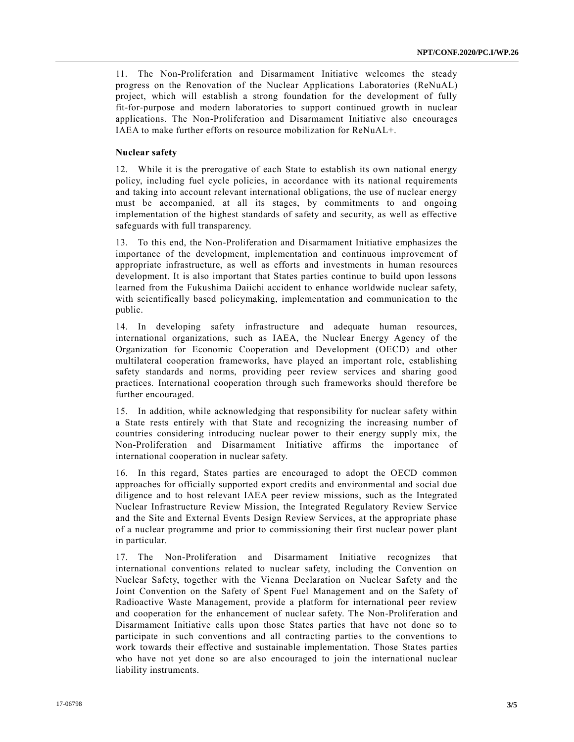11. The Non-Proliferation and Disarmament Initiative welcomes the steady progress on the Renovation of the Nuclear Applications Laboratories (ReNuAL) project, which will establish a strong foundation for the development of fully fit-for-purpose and modern laboratories to support continued growth in nuclear applications. The Non-Proliferation and Disarmament Initiative also encourages IAEA to make further efforts on resource mobilization for ReNuAL+.

#### **Nuclear safety**

12. While it is the prerogative of each State to establish its own national energy policy, including fuel cycle policies, in accordance with its national requirements and taking into account relevant international obligations, the use of nuclear energy must be accompanied, at all its stages, by commitments to and ongoing implementation of the highest standards of safety and security, as well as effective safeguards with full transparency.

13. To this end, the Non-Proliferation and Disarmament Initiative emphasizes the importance of the development, implementation and continuous improvement of appropriate infrastructure, as well as efforts and investments in human resources development. It is also important that States parties continue to build upon lessons learned from the Fukushima Daiichi accident to enhance worldwide nuclear safety, with scientifically based policymaking, implementation and communication to the public.

14. In developing safety infrastructure and adequate human resources, international organizations, such as IAEA, the Nuclear Energy Agency of the Organization for Economic Cooperation and Development (OECD) and other multilateral cooperation frameworks, have played an important role, establishing safety standards and norms, providing peer review services and sharing good practices. International cooperation through such frameworks should therefore be further encouraged.

15. In addition, while acknowledging that responsibility for nuclear safety within a State rests entirely with that State and recognizing the increasing number of countries considering introducing nuclear power to their energy supply mix, the Non-Proliferation and Disarmament Initiative affirms the importance of international cooperation in nuclear safety.

16. In this regard, States parties are encouraged to adopt the OECD common approaches for officially supported export credits and environmental and social due diligence and to host relevant IAEA peer review missions, such as the Integrated Nuclear Infrastructure Review Mission, the Integrated Regulatory Review Service and the Site and External Events Design Review Services, at the appropriate phase of a nuclear programme and prior to commissioning their first nuclear power plant in particular.

17. The Non-Proliferation and Disarmament Initiative recognizes that international conventions related to nuclear safety, including the Convention on Nuclear Safety, together with the Vienna Declaration on Nuclear Safety and the Joint Convention on the Safety of Spent Fuel Management and on the Safety of Radioactive Waste Management, provide a platform for international peer review and cooperation for the enhancement of nuclear safety. The Non-Proliferation and Disarmament Initiative calls upon those States parties that have not done so to participate in such conventions and all contracting parties to the conventions to work towards their effective and sustainable implementation. Those States parties who have not yet done so are also encouraged to join the international nuclear liability instruments.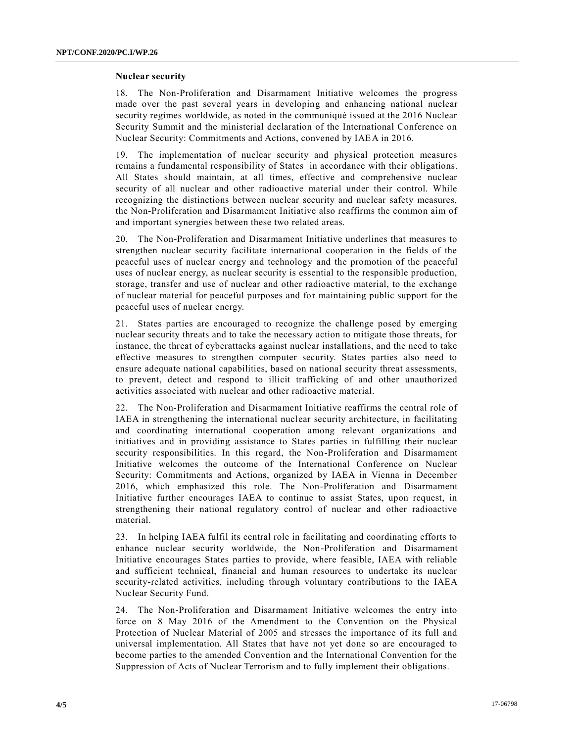#### **Nuclear security**

18. The Non-Proliferation and Disarmament Initiative welcomes the progress made over the past several years in developing and enhancing national nuclear security regimes worldwide, as noted in the communiqué issued at the 2016 Nuclear Security Summit and the ministerial declaration of the International Conference on Nuclear Security: Commitments and Actions, convened by IAEA in 2016.

19. The implementation of nuclear security and physical protection measures remains a fundamental responsibility of States in accordance with their obligations. All States should maintain, at all times, effective and comprehensive nuclear security of all nuclear and other radioactive material under their control. While recognizing the distinctions between nuclear security and nuclear safety measures, the Non-Proliferation and Disarmament Initiative also reaffirms the common aim of and important synergies between these two related areas.

20. The Non-Proliferation and Disarmament Initiative underlines that measures to strengthen nuclear security facilitate international cooperation in the fields of the peaceful uses of nuclear energy and technology and the promotion of the peaceful uses of nuclear energy, as nuclear security is essential to the responsible production, storage, transfer and use of nuclear and other radioactive material, to the exchange of nuclear material for peaceful purposes and for maintaining public support for the peaceful uses of nuclear energy.

21. States parties are encouraged to recognize the challenge posed by emerging nuclear security threats and to take the necessary action to mitigate those threats, for instance, the threat of cyberattacks against nuclear installations, and the need to take effective measures to strengthen computer security. States parties also need to ensure adequate national capabilities, based on national security threat assessments, to prevent, detect and respond to illicit trafficking of and other unauthorized activities associated with nuclear and other radioactive material.

22. The Non-Proliferation and Disarmament Initiative reaffirms the central role of IAEA in strengthening the international nuclear security architecture, in facilitating and coordinating international cooperation among relevant organizations and initiatives and in providing assistance to States parties in fulfilling their nuclear security responsibilities. In this regard, the Non-Proliferation and Disarmament Initiative welcomes the outcome of the International Conference on Nuclear Security: Commitments and Actions, organized by IAEA in Vienna in December 2016, which emphasized this role. The Non-Proliferation and Disarmament Initiative further encourages IAEA to continue to assist States, upon request, in strengthening their national regulatory control of nuclear and other radioactive material.

23. In helping IAEA fulfil its central role in facilitating and coordinating efforts to enhance nuclear security worldwide, the Non-Proliferation and Disarmament Initiative encourages States parties to provide, where feasible, IAEA with reliable and sufficient technical, financial and human resources to undertake its nuclear security-related activities, including through voluntary contributions to the IAEA Nuclear Security Fund.

24. The Non-Proliferation and Disarmament Initiative welcomes the entry into force on 8 May 2016 of the Amendment to the Convention on the Physical Protection of Nuclear Material of 2005 and stresses the importance of its full and universal implementation. All States that have not yet done so are encouraged to become parties to the amended Convention and the International Convention for the Suppression of Acts of Nuclear Terrorism and to fully implement their obligations.